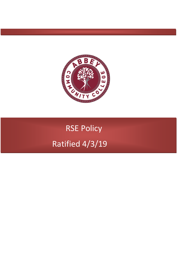

# RSE Policy Ratified 4/3/19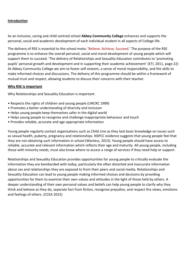## **Introduction**

As an inclusive, caring and child centred school **Abbey Community College** enhances and supports the personal, social and academic development of each individual student in all aspects of College life.

The delivery of RSE is essential to the school moto; 'Believe, Achieve, Succeed.' The purpose of the RSE programme is to enhance the overall personal, social and moral development of young people which will support them to succeed. 'The delivery of Relationships and Sexuality Education contributes to 'promoting pupils' personal growth and development and in supporting their academic achievement' (ETI, 2011, page 22) At Abbey Community College we aim to foster self-esteem, a sense of moral responsibility, and the skills to make informed choices and discussions. The delivery of this programme should be within a framework of mutual trust and respect, allowing students to discuss their concerns with their teacher.

## **Why RSE is important**

Why Relationships and Sexuality Education is important:

- Respects the rights of children and young people (UNCRC 1989)
- Promotes a better understanding of diversity and inclusion
- Helps young people keep themselves safer in the digital world
- Helps young people to recognise and challenge inappropriate behaviour and touch
- Provides reliable, accurate and age-appropriate information

Young people regularly contact organisations such as Child Line as they lack basic knowledge on issues such as sexual health, puberty, pregnancy and relationships. NSPCC evidence suggests that young people feel that they are not obtaining such information in school (Wanless, 2013). Young people should have access to reliable, accurate and relevant information which reflects their age and maturity. All young people, including those with minority needs, must also know where to access a range of services if they need help or support.

Relationships and Sexuality Education provides opportunities for young people to critically evaluate the information they are bombarded with today, particularly the often distorted and inaccurate information about sex and relationships they are exposed to from their peers and social media. Relationships and Sexuality Education can lead to young people making informed choices and decisions by providing opportunities for them to examine their own values and attitudes in the light of those held by others. A deeper understanding of their own personal values and beliefs can help young people to clarify why they think and behave as they do, separate fact from fiction, recognise prejudice, and respect the views, emotions and feelings of others. (CCEA 2015)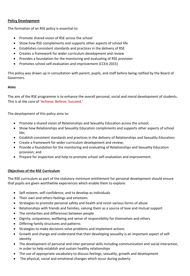## **Policy Development**

The formation of an RSE policy is essential to:

- Promote shared vision of RSE across the school
- Show how RSE complements and supports other aspects of school life
- Establishes consistent standards and practices in the delivery of RSE
- Creates a framework for wider curriculum development and review
- Provides a foundation for the monitoring and evaluating of RSE provision
- Promotes school self-evaluation and improvement (CCEA 2015)

This policy was drawn up in consultation with parent, pupils, and staff before being ratified by the Board of Governors.

## **Aims**

The aim of the RSE programme is to enhance the overall personal, social and moral development of students. This is at the core of 'Achieve, Believe, Succeed.'

The development of this policy aims to:

- Promote a shared vision of Relationships and Sexuality Education across the school;
- Show how Relationships and Sexuality Education compliments and supports other aspects of school life;
- Establish consistent standards and practices in the delivery of Relationships and Sexuality Education;
- Create a framework for wider curriculum development and review;
- Provide a foundation for the monitoring and evaluating of Relationships and Sexuality Education provision; and
- Prepare for inspection and help to promote school self-evaluation and improvement.

# **Objectives of the RSE Curriculum**

The RSE curriculum as part of the statutory minimum entitlement for personal development should ensure that pupils are given worthwhile experiences which enable them to explore:

- Self-esteem, self-confidence, and to develop as individuals
- Their own and others feelings and emotions
- Strategies to promote personal safety and health and resist various forms of abuse
- Relationships with friends and families, valuing them as a source of love and mutual support
- The similarities and differences between people
- Dignity, uniqueness, wellbeing and sense of responsibility for themselves and others
- Differing family structures and patterns
- Strategies to make decisions solve problems and implement actions
- Growth and change and understand that their developing sexuality is an important aspect of selfidentity
- The development of personal and inter-personal skills including communication and social interaction, in order to help establish and sustain healthy relationships
- The use of appropriate vocabulary to discuss feelings, sexuality, growth and development
- The physical, social and emotional changes which occur during puberty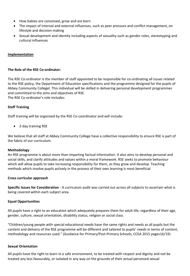- How babies are conceived, grow and are born.
- The impact of internal and external influences, such as peer pressure and conflict management, on lifestyle and decision making
- Sexual development and identity including aspects of sexuality such as gender roles, stereotyping and cultural influences

## **Implementation**

## **The Role of the RSE Co-ordinator:**

The RSE Co-ordinator is the member of staff appointed to be responsible for co-ordinating all issues related to the RSE policy, the Department of Education specifications and the programme designed for the pupils of Abbey Community Collegel. This individual will be skilled in delivering personal development programmes and committed to the aims and objectives of RSE. The RSE Co-ordinator's role includes:

## **Staff Training**

Staff training will be organised by the RSE Co-coordinator and will include:

2-day training RSE

We believe that all staff at Abbey Community College have a collective responsibility to ensure RSE is part of the fabric of our curriculum.

#### **Methodology**

An RSE programme is about more than imparting factual information. It also aims to develop personal and social skills, and clarify attitudes and values within a moral framework. RSE seeks to promote behaviour which will allow pupils to take increasing responsibility for them, as they grow and develop. Teaching methods which involve pupils actively in the process of their own learning is most beneficial

## **Cross curricular approach**

**Specific Issues for Consideration** - A curriculum audit was carried out across all subjects to ascertain what is being covered within each subject area.

## **Equal Opportunities**

All pupils have a right to an education which adequately prepares them for adult life, regardless of their age, gender, culture, sexual orientation, disability status, religion or social class.

"Children/young people with special educational needs have the same rights and needs as all pupils but the content and delivery of the RSE programme will be different and tailored to pupils' needs in terms of content, methodology and resources used." (Guidance for Primary/Post-Primary Schools, CCEA 2015 pages16/19)

#### **Sexual Orientation**

All pupils have the right to learn in a safe environment, to be treated with respect and dignity and not be treated any less favourably, or isolated in any way on the grounds of their actual perceived sexual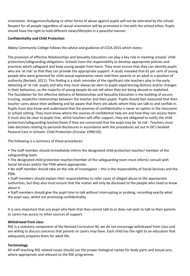orientation. Antagonism/bullying or other forms of abuse against pupils will not be tolerated by the school. Respect for all people regardless of sexual orientation will be promoted in line with the school ethos. Pupils should have the right to hold different views/lifestyles in a peaceful manner.

# **Confidentiality and Child Protection**

Abbey Community College follows the advice and guidance of CCEA 2015 which states:

The provision of effective Relationships and Sexuality Education can play a key role in meeting schools' child protection/safeguarding obligations. Schools have the responsibility to develop appropriate policies and practices which safeguard and keep young people from harm. They must ensure that they can identify pupils who are 'at risk' so that they can provide the appropriate support. A study revealed that 62 per cent of young people who were groomed for child sexual exploitation never told their parents or an adult in a position of authority (Beckett, 2011). This finding is a stark reminder of the significant role teachers play in the early detecting of 'at risk' pupils and why they must always be alert to pupils experiencing distress and/or changes in their behaviour, as the majority of young people do not tell when they are being abused or exploited. The foundation for the effective delivery of Relationships and Sexuality Education is the building of secure, trusting, respectful relationships between the teacher and their pupils. Pupils should feel reassured that their teacher cares about their wellbeing and be aware that there are adults whom they can talk to and confide in. Pupils must also know and understand that the promise of confidentiality is never an option in the classroom or school setting. They must know where the sources of confidential help are and how they can access them. It must also be clear to pupils that, whilst teachers will offer support, they are obligated to notify the child protection/safeguarding teacher/team if they are concerned that the pupil may be 'at risk'. Teachers must take decisions relating to personal disclosures in accordance with the procedures set out in DE's booklet Pastoral Care in Schools: Child Protection (Circular 1999/10).

The following is a summary of these procedures:

• The staff member should immediately inform the designated child protection teacher/ member of the safeguarding team.

• The designated child protection teacher/member of the safeguarding team must inform/ consult with Social Services and/or the PSNI where appropriate.

• No staff member should take on the role of investigator – this is the responsibility of Social Services and the PSNI.

• Staff members should explain their responsibilities to refer cases of alleged abuse to the appropriate authorities, but they also must ensure that the matter will only be disclosed to the people who need to know about it.

• Staff members should give the pupil time to talk without interrupting or probing, recording exactly what the pupil says, whilst not promising confidentiality.

It is very important that any pupil who feels that they cannot talk to or does not wish to talk to their parents or carers has access to other sources of support.

# **Withdrawal from class**

RSE is a statutory component of the Revised Curriculum NI, we do not encourage withdrawal from class and are willing to discuss concerns that parents or carers may have. Each child has the right to an education that adequately prepares them for adult life.

# **Terminology**

All staff teaching RSE related issues should use the proper biological names for body parts and sexual acts, where appropriate and relevant to the RSE programme.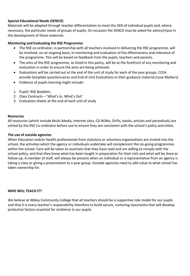## **Special Educational Needs (SENCO)**

Materials will be adapted through teacher differentiation to meet the SEN of individual pupils and, where necessary, the particular needs of groups of pupils. On occasion the SENCO may be asked for advice/input in the development of these materials.

## **Monitoring and Evaluating the RSE Programme:**

- The RSE co-ordinator, in partnership with all teachers involved in delivering the RSE programme, will be involved, on an ongoing basis, in monitoring and evaluation of the effectiveness and relevance of the programme. This will be based on feedback from the pupils, teachers and parents.
- The aims of the RSE programme, as listed in this policy, will be at the forefront of any monitoring and evaluation in order to ensure the aims are being achieved.
- Evaluations will be carried out at the end of the unit of study for each of the year groups. CCEA provide template questionnaires and End of Unit Evaluations in their guidance material (Love Matters)
- Evidence of pupils learning might include:
- 1. Pupils' RSE Booklets
- 2. Class Contracts 'What's In, What's Out'
- 3. Evaluation sheets at the end of each unit of study

## **Resources**

All resources (which include Multi-Media, Internet sites, CD ROMs, DVDs, books, articles and periodicals) are vetted by the RSE Co-ordinator before use to ensure they are consistent with the school's policy and ethos.

## **The use of outside agencies**

When Education and/or Health professionals from statutory or voluntary organisations are invited into the school, the activities which the agency or individuals undertake will complement the on-going programmes within the school. Care will be taken to ascertain that they have read and are willing to comply with the school policy, and that they know what has been taught in preparation for their visit and what will be done as follow-up. A member of staff, will always be present when an individual or a representative from an agency is taking a class or giving a presentation to a year group. Outside agencies need to add value to what school has taken ownership for.

## **WHO WILL TEACH IT?**

We believe at Abbey Community College that all teachers should be a supportive role model for our pupils and that it is every teacher's responsibility therefore to build secure, nurturing classrooms that will develop protective factors essential for resilience in our pupils.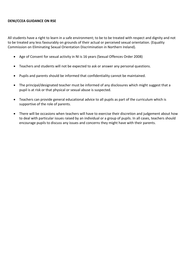## **DENI/CCEA GUIDANCE ON RSE**

All students have a right to learn in a safe environment; to be to be treated with respect and dignity and not to be treated any less favourably on grounds of their actual or perceived sexual orientation. (Equality Commission on Eliminating Sexual Orientation Discrimination in Northern Ireland).

- Age of Consent for sexual activity in NI is 16 years (Sexual Offences Order 2008)
- Teachers and students will not be expected to ask or answer any personal questions.
- Pupils and parents should be informed that confidentiality cannot be maintained.
- The principal/designated teacher must be informed of any disclosures which might suggest that a pupil is at risk or that physical or sexual abuse is suspected.
- Teachers can provide general educational advice to all pupils as part of the curriculum which is supportive of the role of parents.
- There will be occasions when teachers will have to exercise their discretion and judgement about how to deal with particular issues raised by an individual or a group of pupils. In all cases, teachers should encourage pupils to discuss any issues and concerns they might have with their parents.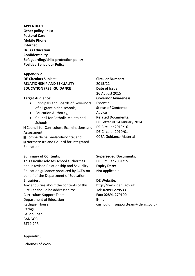**APPENDIX 1 Other policy links: Pastoral Care Mobile Phone Internet Drugs Education Confidentiality Safeguarding/child protection policy Positive Behaviour Policy** 

# **Appendix 2 DE Circulars** Subject: **RELATIONSHIP AND SEXUALITY EDUCATION (RSE) GUIDANCE**

## **Target Audience:**

- Principals and Boards of Governors of all grant-aided schools;
- Education Authority;
- Council for Catholic Maintained Schools;

Council for Curriculum, Examinations and Assessment;

Comhairle na Gaelscolaíochta; and Northern Ireland Council for Integrated Education.

**Summary of Contents:** 

This Circular advises school authorities about revised Relationship and Sexuality Education guidance produced by CCEA on behalf of the Department of Education. **Enquiries:** 

Any enquiries about the contents of this Circular should be addressed to: Curriculum Support Team Department of Education Rathgael House Rathgill Balloo Road

BANGOR BT19 7PR

**Circular Number:**  2015/22 **Date of Issue:**  26 August 2015 **Governor Awareness:**  Essential **Status of Contents:**  Advice **Related Documents:**  DE Letter of 14 January 2014 DE Circular 2013/16 DE Circular 2010/01

## **Superseded Documents:**

CCEA Guidance Material

DE Circular 2001/15 **Expiry Date:**  Not applicable

## **DE Website:**

http://www.deni.gov.uk **Tel: 02891 279533 Fax: 02891 279100 E-mail:**  curriculum.supportteam@deni.gov.uk

Appendix 3

Schemes of Work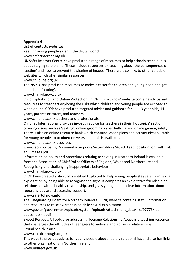## **Appendix 4**

## **List of contacts websites:**

Keeping young people safer in the digital world

www.saferinternet.org.uk

UK Safer Internet Centre have produced a range of resources to help schools teach pupils about staying safe online. These include resources on teaching about the consequences of 'sexting' and how to prevent the sharing of images. There are also links to other valuable websites which offer similar resources.

www.childline.org.uk

The NSPCC has produced resources to make it easier for children and young people to get help about 'sexting'.

www.thinkuknow.co.uk

Child Exploitation and Online Protection (CEOP) 'thinkuknow' website contains advice and resources for teachers exploring the risks which children and young people are exposed to when online. CEOP have produced targeted advice and guidance for 11–13 year olds, 14+ years, parents or carers, and teachers.

www.childnet.com/teachers-and-professionals

Childnet International provides in-depth advice for teachers in their 'hot topics' section, covering issues such as 'sexting', online grooming, cyber bullying and online gaming safety. There is also an online resource bank which contains lesson plans and activity ideas suitable for young people up to nineteen years old – this is available at www.childnet.com/resources.

www.ceop.police.uk/Documents/ceopdocs/externaldocs/ACPO\_Lead\_position\_on\_Self\_Tak en\_ Images.pdf

Information on policy and procedures relating to sexting in Northern Ireland is available from the Association of Chief Police Officers of England, Wales and Northern Ireland. Recognising and challenging inappropriate behaviour

www.thinkuknow.co.uk

CEOP have created a short film entitled Exploited to help young people stay safe from sexual exploitation by being able to recognise the signs. It compares an exploitative friendship or relationship with a healthy relationship, and gives young people clear information about reporting abuse and accessing support.

www.safertoknow.info

The Safeguarding Board for Northern Ireland's (SBNI) website contains useful information and resources to raise awareness on child sexual exploitation.

www.gov.uk/government/uploads/system/uploads/attachment\_data/file/97773/teenabuse-toolkit.pdf

Expect Respect: A Toolkit for addressing Teenage Relationship Abuse is a teaching resource that challenges the attitudes of teenagers to violence and abuse in relationships.

Sexual health issues

www.thinkitthrough.org.uk

This website provides advice for young people about healthy relationships and also has links to other organisations in Northern Ireland.

www.nidirect.gov.uk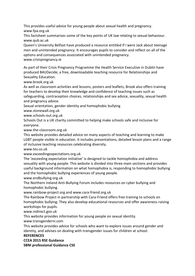This provides useful advice for young people about sexual health and pregnancy. www.fpa.org.uk

This factsheet summarises some of the key points of UK law relating to sexual behaviour. www.qub.ac.uk

Queen's University Belfast have produced a resource entitled If I were Jack about teenage men and unintended pregnancy. It encourages pupils to consider and reflect on all of the options and consequences associated with unintended pregnancy.

www.crisispregnancy.ie

As part of their Crisis Pregnancy Programme the Health Service Executive in Dublin have produced B4UDecide, a free, downloadable teaching resource for Relationships and Sexuality Education.

www.brook.org.uk

As well as classroom activities and lessons, posters and leaflets, Brook also offers training for teachers to develop their knowledge and confidence of teaching issues such as safeguarding, contraception choices, relationships and sex advice, sexuality, sexual health and pregnancy advice.

Sexual orientation, gender identity and homophobic bullying

www.stonewall.org.uk

www.schools-out.org.uk

Schools Out is a UK charity committed to helping make schools safe and inclusive for everyone.

www.the-classroom.org.uk

This website provides detailed advice on many aspects of teaching and learning to make LGBT people visible in education. It includes presentations, detailed lesson plans and a range of inclusive teaching resources celebrating diversity.

www.tes.co.uk

www.exceedingexpectations.org.uk

The 'exceeding expectation initiative' is designed to tackle homophobia and address sexuality with young people. This website is divided into three main sections and provides useful background information on what homophobia is, responding to homophobic bullying and the homophobic bullying experiences of young people.

www.endbullying.org.uk

The Northern Ireland Anti-Bullying Forum includes resources on cyber bullying and homophobic bullying.

www.rainbow-project.org and www.cara-friend.org.uk

The Rainbow Project in partnership with Cara-Friend offers free training to schools on homophobic bullying. They also develop educational resources and offer awareness-raising workshops for pupils.

www.nidirect.gov.uk

This website provides information for young people on sexual identity.

www.transgenderni.com

This website provides advice for schools who want to explore issues around gender and identity, and advises on dealing with transgender issues for children at school.

# **REFERENCES**

## **CCEA 2015 RSE Guidance**

**SBNI professional Guidance CSE**